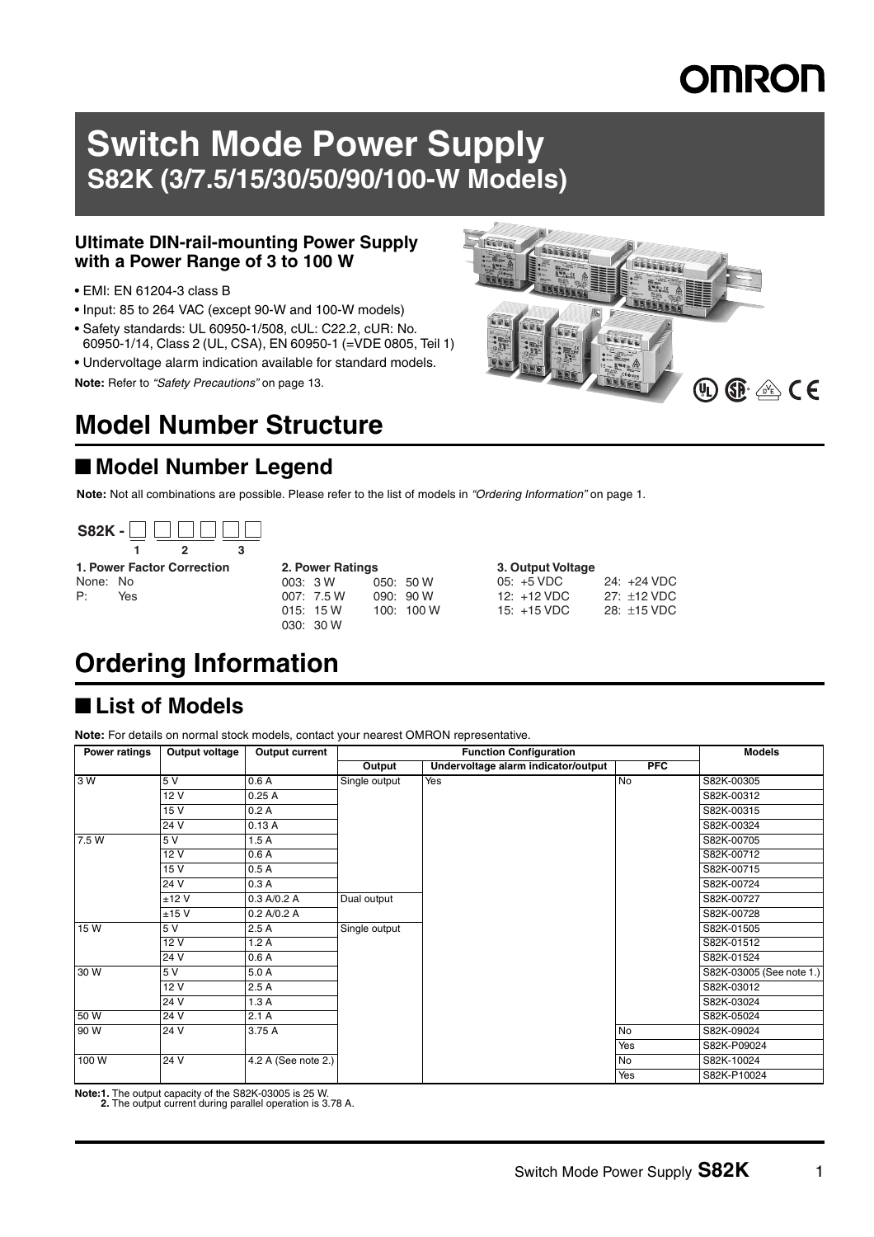# **DMRON**

 $\textcircled{f} \mathbb{G}$   $\textcircled{f} \in \text{C}$ 

# **Switch Mode Power Supply S82K (3/7.5/15/30/50/90/100-W Models)**

### **Ultimate DIN-rail-mounting Power Supply with a Power Range of 3 to 100 W**

- EMI: EN 61204-3 class B
- Input: 85 to 264 VAC (except 90-W and 100-W models)
- Safety standards: UL 60950-1/508, cUL: C22.2, cUR: No. 60950-1/14, Class 2 (UL, CSA), EN 60950-1 (=VDE 0805, Teil 1)
- Undervoltage alarm indication available for standard models.

**Note:** Refer to *["Safety Precautions"](#page-12-0)* on page 13.

# **Model Number Structure**

# ■ **Model Number Legend**

**Note:** Not all combinations are possible. Please refer to the list of models in *["Ordering Information"](#page-0-0)* on page 1.



None: No P: Yes **2. Power Ratings** 003: 3 W 007: 7.5 W 015: 15 W 030: 30 W 050: 50 W 090: 90 W 100: 100 W

| 3. Output Voltage |                  |
|-------------------|------------------|
| $05: +5$ VDC      | $24: +24 VDC$    |
| $12: +12$ VDC     | 27: ±12 VDC      |
| $15: +15$ VDC     | $28: \pm 15$ VDC |
|                   |                  |

TREES

# <span id="page-0-0"></span>**Ordering Information**

# ■ **List of Models**

**Note:** For details on normal stock models, contact your nearest OMRON representative.

| <b>Power ratings</b> | Output voltage | Output current      | <b>Function Configuration</b> |                                     |            | <b>Models</b>            |
|----------------------|----------------|---------------------|-------------------------------|-------------------------------------|------------|--------------------------|
|                      |                |                     | Output                        | Undervoltage alarm indicator/output | <b>PFC</b> |                          |
| 3W                   | 5 V            | 0.6A                | Single output                 | Yes                                 | <b>No</b>  | S82K-00305               |
|                      | 12 V           | 0.25A               |                               |                                     |            | S82K-00312               |
|                      | 15 V           | 0.2A                |                               |                                     |            | S82K-00315               |
|                      | 24 V           | 0.13A               |                               |                                     |            | S82K-00324               |
| 7.5W                 | 5 V            | 1.5A                |                               |                                     |            | S82K-00705               |
|                      | 12 V           | 0.6A                |                               |                                     |            | S82K-00712               |
|                      | 15 V           | 0.5A                |                               |                                     |            | S82K-00715               |
|                      | 24 V           | 0.3A                |                               |                                     |            | S82K-00724               |
|                      | ±12V           | 0.3 A/0.2 A         | Dual output                   |                                     |            | S82K-00727               |
|                      | ±15V           | 0.2 A/0.2 A         |                               |                                     |            | S82K-00728               |
| 15 W                 | 5 V            | 2.5A                | Single output                 |                                     |            | S82K-01505               |
|                      | 12 V           | 1.2A                |                               |                                     |            | S82K-01512               |
|                      | 24 V           | 0.6A                |                               |                                     |            | S82K-01524               |
| 30 W                 | 5 V            | 5.0 A               |                               |                                     |            | S82K-03005 (See note 1.) |
|                      | 12 V           | 2.5A                |                               |                                     |            | S82K-03012               |
|                      | 24 V           | 1.3A                |                               |                                     |            | S82K-03024               |
| 50 W                 | 24 V           | 2.1A                |                               |                                     |            | S82K-05024               |
| 90 W                 | 24 V           | 3.75 A              |                               |                                     | <b>No</b>  | S82K-09024               |
|                      |                |                     |                               |                                     | Yes        | S82K-P09024              |
| 100 W                | 24 V           | 4.2 A (See note 2.) |                               |                                     | No         | S82K-10024               |
|                      |                |                     |                               |                                     | Yes        | S82K-P10024              |

**Note:1.** The output capacity of the S82K-03005 is 25 W. **2.** The output current during parallel operation is 3.78 A.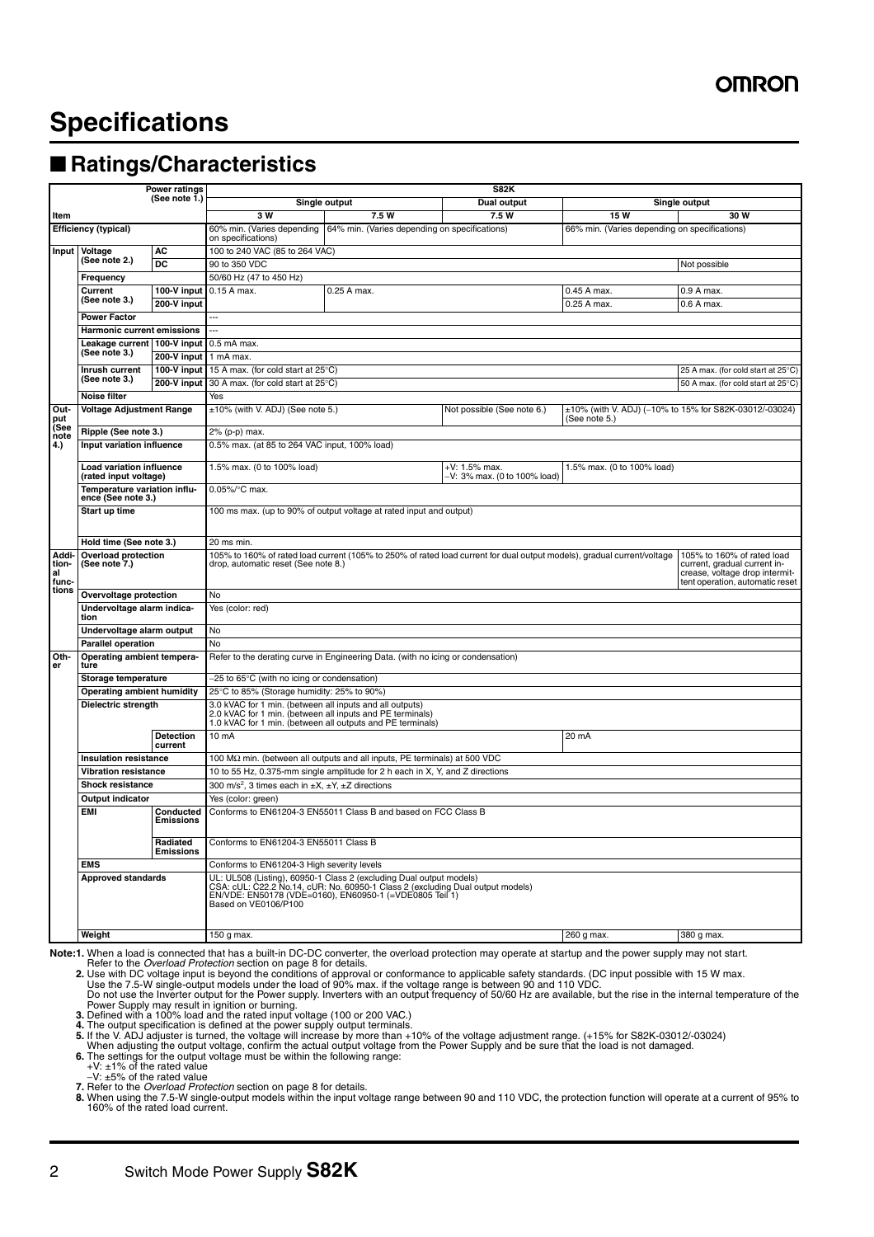# **Specifications**

# ■ Ratings/Characteristics

| Power ratings                                                                                                                                                                                                                           |                                                                                                                                                                         | <b>S82K</b>        |                                                                                                                                                                                                                                          |                                                                           |                                               |                            |                                                        |  |  |
|-----------------------------------------------------------------------------------------------------------------------------------------------------------------------------------------------------------------------------------------|-------------------------------------------------------------------------------------------------------------------------------------------------------------------------|--------------------|------------------------------------------------------------------------------------------------------------------------------------------------------------------------------------------------------------------------------------------|---------------------------------------------------------------------------|-----------------------------------------------|----------------------------|--------------------------------------------------------|--|--|
| (See note 1.)                                                                                                                                                                                                                           |                                                                                                                                                                         | Single output      |                                                                                                                                                                                                                                          | Dual output                                                               |                                               | Single output              |                                                        |  |  |
| Item                                                                                                                                                                                                                                    |                                                                                                                                                                         | 3W                 | 7.5 W                                                                                                                                                                                                                                    | 7.5 W                                                                     | 15W                                           | 30 W                       |                                                        |  |  |
| <b>Efficiency (typical)</b>                                                                                                                                                                                                             |                                                                                                                                                                         | on specifications) | 60% min. (Varies depending 64% min. (Varies depending on specifications)                                                                                                                                                                 |                                                                           | 66% min. (Varies depending on specifications) |                            |                                                        |  |  |
| Input                                                                                                                                                                                                                                   | AC<br>Voltage                                                                                                                                                           |                    | 100 to 240 VAC (85 to 264 VAC)                                                                                                                                                                                                           |                                                                           |                                               |                            |                                                        |  |  |
|                                                                                                                                                                                                                                         | (See note 2.)                                                                                                                                                           | DC                 | 90 to 350 VDC                                                                                                                                                                                                                            |                                                                           |                                               |                            | Not possible                                           |  |  |
|                                                                                                                                                                                                                                         | Frequency                                                                                                                                                               |                    | 50/60 Hz (47 to 450 Hz)                                                                                                                                                                                                                  |                                                                           |                                               |                            |                                                        |  |  |
|                                                                                                                                                                                                                                         | Current                                                                                                                                                                 | 100-V input        | 0.15 A max.                                                                                                                                                                                                                              | 0.25 A max.                                                               |                                               | 0.45 A max.                | 0.9 A max.                                             |  |  |
|                                                                                                                                                                                                                                         | (See note 3.)                                                                                                                                                           | 200-V input        |                                                                                                                                                                                                                                          |                                                                           |                                               | 0.25 A max.                | 0.6 A max.                                             |  |  |
|                                                                                                                                                                                                                                         | <b>Power Factor</b>                                                                                                                                                     |                    |                                                                                                                                                                                                                                          |                                                                           |                                               |                            |                                                        |  |  |
|                                                                                                                                                                                                                                         | Harmonic current emissions                                                                                                                                              |                    |                                                                                                                                                                                                                                          |                                                                           |                                               |                            |                                                        |  |  |
|                                                                                                                                                                                                                                         | Leakage current                                                                                                                                                         | 100-V input        | 0.5 mA max.                                                                                                                                                                                                                              |                                                                           |                                               |                            |                                                        |  |  |
|                                                                                                                                                                                                                                         | (See note 3.)                                                                                                                                                           | 200-V input        | 1 mA max.                                                                                                                                                                                                                                |                                                                           |                                               |                            |                                                        |  |  |
|                                                                                                                                                                                                                                         | Inrush current                                                                                                                                                          | 100-V input        | 15 A max. (for cold start at 25°C)<br>25 A max. (for cold start at 25°C)                                                                                                                                                                 |                                                                           |                                               |                            |                                                        |  |  |
|                                                                                                                                                                                                                                         | (See note 3.)                                                                                                                                                           | 200-V input        | 30 A max. (for cold start at 25°C)                                                                                                                                                                                                       |                                                                           |                                               |                            | 50 A max. (for cold start at 25°C)                     |  |  |
|                                                                                                                                                                                                                                         | Noise filter                                                                                                                                                            |                    | Yes                                                                                                                                                                                                                                      |                                                                           |                                               |                            |                                                        |  |  |
| Out-<br>put                                                                                                                                                                                                                             | <b>Voltage Adjustment Range</b>                                                                                                                                         |                    | ±10% (with V. ADJ) (See note 5.)                                                                                                                                                                                                         |                                                                           | Not possible (See note 6.)                    | (See note 5.)              | ±10% (with V. ADJ) (-10% to 15% for S82K-03012/-03024) |  |  |
| (See<br>note                                                                                                                                                                                                                            | Ripple (See note 3.)                                                                                                                                                    |                    | 2% (p-p) max.                                                                                                                                                                                                                            |                                                                           |                                               |                            |                                                        |  |  |
| 4.)                                                                                                                                                                                                                                     | Input variation influence                                                                                                                                               |                    | 0.5% max. (at 85 to 264 VAC input, 100% load)                                                                                                                                                                                            |                                                                           |                                               |                            |                                                        |  |  |
|                                                                                                                                                                                                                                         | Load variation influence<br>(rated input voltage)                                                                                                                       |                    | 1.5% max. (0 to 100% load)                                                                                                                                                                                                               |                                                                           | +V: 1.5% max.<br>-V: 3% max. (0 to 100% load) | 1.5% max. (0 to 100% load) |                                                        |  |  |
|                                                                                                                                                                                                                                         | Temperature variation influ-<br>ence (See note 3.)                                                                                                                      |                    | 0.05%/°C max.                                                                                                                                                                                                                            |                                                                           |                                               |                            |                                                        |  |  |
|                                                                                                                                                                                                                                         | Start up time                                                                                                                                                           |                    | 100 ms max. (up to 90% of output voltage at rated input and output)                                                                                                                                                                      |                                                                           |                                               |                            |                                                        |  |  |
|                                                                                                                                                                                                                                         | Hold time (See note 3.)                                                                                                                                                 |                    | 20 ms min.                                                                                                                                                                                                                               |                                                                           |                                               |                            |                                                        |  |  |
| Addi-<br>Overload protection<br>105% to 160% of rated load current (105% to 250% of rated load current for dual output models), gradual current/voltage<br>drop, automatic reset (See note 8.)<br>tion-<br>(See note 7.)<br>al<br>func- |                                                                                                                                                                         |                    | 105% to 160% of rated load<br>current, gradual current in-<br>crease, voltage drop intermit-<br>tent operation, automatic reset                                                                                                          |                                                                           |                                               |                            |                                                        |  |  |
| tions                                                                                                                                                                                                                                   | Overvoltage protection                                                                                                                                                  |                    | No                                                                                                                                                                                                                                       |                                                                           |                                               |                            |                                                        |  |  |
|                                                                                                                                                                                                                                         | Undervoltage alarm indica-<br>tion                                                                                                                                      |                    | Yes (color: red)                                                                                                                                                                                                                         |                                                                           |                                               |                            |                                                        |  |  |
|                                                                                                                                                                                                                                         | Undervoltage alarm output                                                                                                                                               |                    | No                                                                                                                                                                                                                                       |                                                                           |                                               |                            |                                                        |  |  |
|                                                                                                                                                                                                                                         | <b>Parallel operation</b>                                                                                                                                               |                    | No                                                                                                                                                                                                                                       |                                                                           |                                               |                            |                                                        |  |  |
| Oth-<br>er                                                                                                                                                                                                                              | Operating ambient tempera-<br>ture                                                                                                                                      |                    | Refer to the derating curve in Engineering Data. (with no icing or condensation)                                                                                                                                                         |                                                                           |                                               |                            |                                                        |  |  |
|                                                                                                                                                                                                                                         | Storage temperature                                                                                                                                                     |                    | -25 to 65°C (with no icing or condensation)                                                                                                                                                                                              |                                                                           |                                               |                            |                                                        |  |  |
|                                                                                                                                                                                                                                         | <b>Operating ambient humidity</b>                                                                                                                                       |                    | 25°C to 85% (Storage humidity: 25% to 90%)                                                                                                                                                                                               |                                                                           |                                               |                            |                                                        |  |  |
|                                                                                                                                                                                                                                         | Dielectric strength<br><b>Detection</b><br>current                                                                                                                      |                    | 3.0 kVAC for 1 min. (between all inputs and all outputs)<br>2.0 kVAC for 1 min. (between all inputs and PE terminals)<br>1.0 kVAC for 1 min. (between all outputs and PE terminals)                                                      |                                                                           |                                               |                            |                                                        |  |  |
|                                                                                                                                                                                                                                         |                                                                                                                                                                         |                    | $10 \text{ mA}$                                                                                                                                                                                                                          |                                                                           |                                               | $\overline{2}0 \text{ mA}$ |                                                        |  |  |
|                                                                                                                                                                                                                                         | <b>Insulation resistance</b>                                                                                                                                            |                    |                                                                                                                                                                                                                                          | 100 MΩ min. (between all outputs and all inputs, PE terminals) at 500 VDC |                                               |                            |                                                        |  |  |
|                                                                                                                                                                                                                                         | <b>Vibration resistance</b><br>Shock resistance<br><b>Output indicator</b><br><b>EMI</b><br>Conducted<br><b>Emissions</b><br>Radiated<br><b>Emissions</b><br><b>EMS</b> |                    | 10 to 55 Hz, 0.375-mm single amplitude for 2 h each in X, Y, and Z directions                                                                                                                                                            |                                                                           |                                               |                            |                                                        |  |  |
|                                                                                                                                                                                                                                         |                                                                                                                                                                         |                    | 300 m/s <sup>2</sup> , 3 times each in $\pm X$ , $\pm Y$ , $\pm Z$ directions                                                                                                                                                            |                                                                           |                                               |                            |                                                        |  |  |
|                                                                                                                                                                                                                                         |                                                                                                                                                                         |                    | Yes (color: green)                                                                                                                                                                                                                       |                                                                           |                                               |                            |                                                        |  |  |
|                                                                                                                                                                                                                                         |                                                                                                                                                                         |                    | Conforms to EN61204-3 EN55011 Class B and based on FCC Class B                                                                                                                                                                           |                                                                           |                                               |                            |                                                        |  |  |
|                                                                                                                                                                                                                                         |                                                                                                                                                                         |                    | Conforms to EN61204-3 EN55011 Class B                                                                                                                                                                                                    |                                                                           |                                               |                            |                                                        |  |  |
|                                                                                                                                                                                                                                         |                                                                                                                                                                         |                    | Conforms to EN61204-3 High severity levels                                                                                                                                                                                               |                                                                           |                                               |                            |                                                        |  |  |
|                                                                                                                                                                                                                                         | <b>Approved standards</b>                                                                                                                                               |                    | UL: UL508 (Listing), 60950-1 Class 2 (excluding Dual output models)<br>CSA: cUL: C22.2 No.14, cUR: No. 60950-1 Class 2 (excluding Dual output models)<br>EN/VDE: EN50178 (VDE=0160), EN60950-1 (=VDE0805 Teil 1)<br>Based on VE0106/P100 |                                                                           |                                               |                            |                                                        |  |  |
|                                                                                                                                                                                                                                         | Weight                                                                                                                                                                  |                    | 150 g max.                                                                                                                                                                                                                               |                                                                           |                                               | 260 g max.                 | 380 g max.                                             |  |  |
|                                                                                                                                                                                                                                         |                                                                                                                                                                         |                    |                                                                                                                                                                                                                                          |                                                                           |                                               |                            |                                                        |  |  |

**Note:1.** When a load is connected that has a built-in DC-DC converter, the overload protection may operate at startup and the power supply may not start.

Refer to the *Overload Protection* section on [page 8](#page-7-0) for details.<br>2. Use with DC voltage input is beyond the conditions of approval or conformance to applicable safety standards. (DC input possible with 15 W max.<br>Use the 7

Power Supply may result in ignition or burning. **3.** Defined with a 100% load and the rated input voltage (100 or 200 VAC.)

4. The output specification is defined at the power supply output terminals.<br>5. If the V. ADJ adjustment range. (+15% for S82K-03012/-03024)<br>When adjusting the output voltage, confirm the actual output voltage from the Pow

**7.** Refer to the *Overload Protection* section on [page 8](#page-7-0) for details.<br>**8.** When using the 7.5-W single-output models within the input voltage range between 90 and 110 VDC, the protection function will operate at a current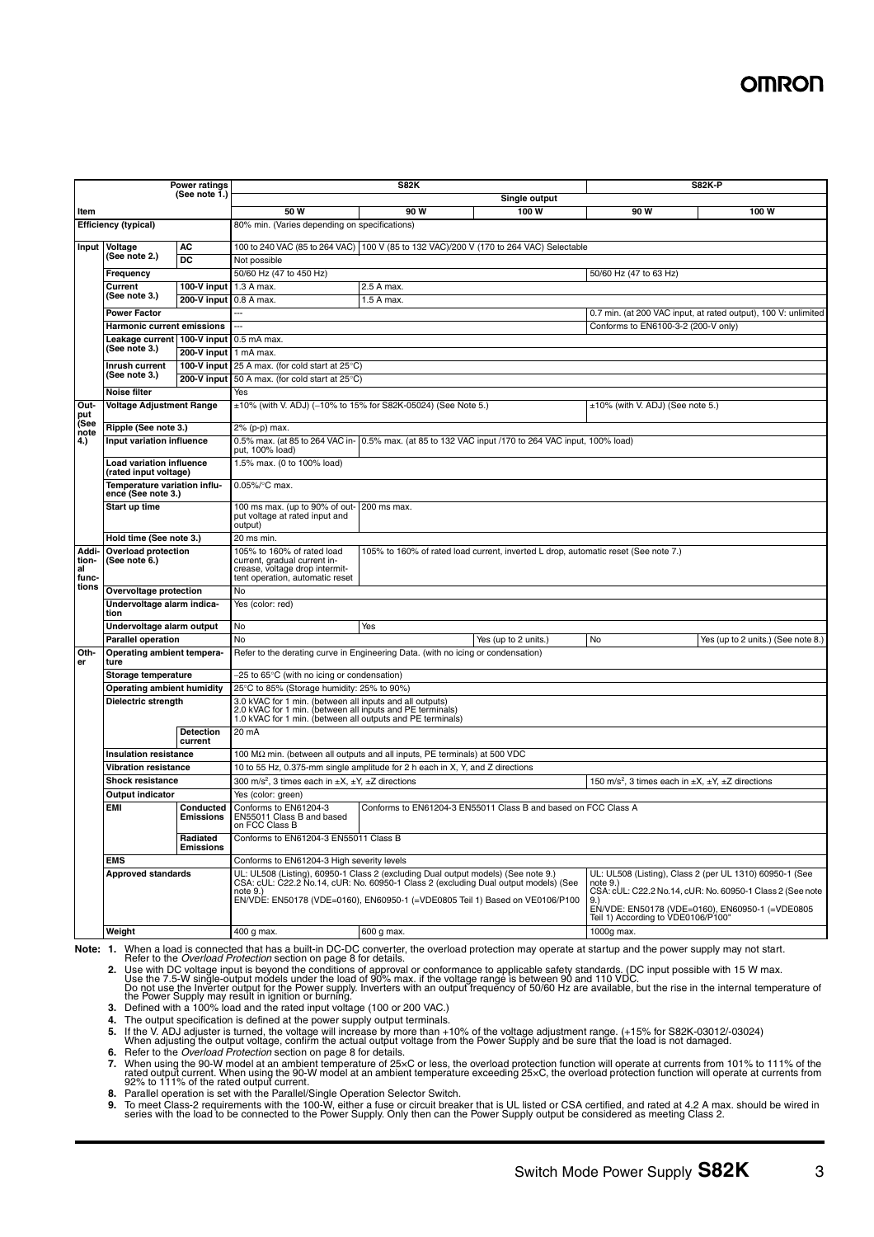|                                                     |                                                                                                                                                                                                                              |                                                                                                                                                                                                                       | <b>S82K</b>                                                                                                                                                                                                                                                                                                                                                                                                                                                                                             |                                                                | <b>S82K-P</b>                       |            |                                   |  |  |
|-----------------------------------------------------|------------------------------------------------------------------------------------------------------------------------------------------------------------------------------------------------------------------------------|-----------------------------------------------------------------------------------------------------------------------------------------------------------------------------------------------------------------------|---------------------------------------------------------------------------------------------------------------------------------------------------------------------------------------------------------------------------------------------------------------------------------------------------------------------------------------------------------------------------------------------------------------------------------------------------------------------------------------------------------|----------------------------------------------------------------|-------------------------------------|------------|-----------------------------------|--|--|
| <b>Power ratings</b><br>(See note $\overline{1}$ .) |                                                                                                                                                                                                                              |                                                                                                                                                                                                                       |                                                                                                                                                                                                                                                                                                                                                                                                                                                                                                         |                                                                |                                     |            |                                   |  |  |
|                                                     |                                                                                                                                                                                                                              |                                                                                                                                                                                                                       |                                                                                                                                                                                                                                                                                                                                                                                                                                                                                                         | Single output                                                  |                                     |            |                                   |  |  |
| Item                                                |                                                                                                                                                                                                                              |                                                                                                                                                                                                                       | 50 W                                                                                                                                                                                                                                                                                                                                                                                                                                                                                                    | 90 W                                                           | 100W                                | 90 W       | 100 W                             |  |  |
| <b>Efficiency (typical)</b>                         |                                                                                                                                                                                                                              | 80% min. (Varies depending on specifications)                                                                                                                                                                         |                                                                                                                                                                                                                                                                                                                                                                                                                                                                                                         |                                                                |                                     |            |                                   |  |  |
|                                                     | Input Voltage                                                                                                                                                                                                                | <b>AC</b>                                                                                                                                                                                                             | 100 to 240 VAC (85 to 264 VAC) 100 V (85 to 132 VAC)/200 V (170 to 264 VAC) Selectable                                                                                                                                                                                                                                                                                                                                                                                                                  |                                                                |                                     |            |                                   |  |  |
|                                                     | (See note 2.)                                                                                                                                                                                                                | <b>DC</b>                                                                                                                                                                                                             | Not possible                                                                                                                                                                                                                                                                                                                                                                                                                                                                                            |                                                                |                                     |            |                                   |  |  |
|                                                     | Frequency                                                                                                                                                                                                                    |                                                                                                                                                                                                                       | 50/60 Hz (47 to 450 Hz)<br>50/60 Hz (47 to 63 Hz)                                                                                                                                                                                                                                                                                                                                                                                                                                                       |                                                                |                                     |            |                                   |  |  |
|                                                     | Current                                                                                                                                                                                                                      | 100-V input                                                                                                                                                                                                           | 1.3 A max.<br>2.5 A max.                                                                                                                                                                                                                                                                                                                                                                                                                                                                                |                                                                |                                     |            |                                   |  |  |
|                                                     | (See note 3.)                                                                                                                                                                                                                | 200-V input                                                                                                                                                                                                           | 0.8 A max.                                                                                                                                                                                                                                                                                                                                                                                                                                                                                              | 1.5 A max.                                                     |                                     |            |                                   |  |  |
|                                                     | <b>Power Factor</b>                                                                                                                                                                                                          |                                                                                                                                                                                                                       |                                                                                                                                                                                                                                                                                                                                                                                                                                                                                                         | 0.7 min. (at 200 VAC input, at rated output), 100 V: unlimited |                                     |            |                                   |  |  |
|                                                     | <b>Harmonic current emissions</b>                                                                                                                                                                                            |                                                                                                                                                                                                                       |                                                                                                                                                                                                                                                                                                                                                                                                                                                                                                         |                                                                | Conforms to EN6100-3-2 (200-V only) |            |                                   |  |  |
|                                                     | Leakage current                                                                                                                                                                                                              | 100-V input                                                                                                                                                                                                           | 0.5 mA max.                                                                                                                                                                                                                                                                                                                                                                                                                                                                                             |                                                                |                                     |            |                                   |  |  |
|                                                     | (See note 3.)                                                                                                                                                                                                                | 200-V input                                                                                                                                                                                                           | 1 mA max.                                                                                                                                                                                                                                                                                                                                                                                                                                                                                               |                                                                |                                     |            |                                   |  |  |
|                                                     | Inrush current                                                                                                                                                                                                               | 100-V input                                                                                                                                                                                                           | 25 A max. (for cold start at 25°C)                                                                                                                                                                                                                                                                                                                                                                                                                                                                      |                                                                |                                     |            |                                   |  |  |
|                                                     | (See note 3.)                                                                                                                                                                                                                | 200-V input                                                                                                                                                                                                           | 50 A max. (for cold start at 25°C)                                                                                                                                                                                                                                                                                                                                                                                                                                                                      |                                                                |                                     |            |                                   |  |  |
|                                                     | Noise filter                                                                                                                                                                                                                 |                                                                                                                                                                                                                       | Yes                                                                                                                                                                                                                                                                                                                                                                                                                                                                                                     |                                                                |                                     |            |                                   |  |  |
| Out-<br>put                                         | <b>Voltage Adjustment Range</b>                                                                                                                                                                                              |                                                                                                                                                                                                                       | ±10% (with V. ADJ) (-10% to 15% for S82K-05024) (See Note 5.)                                                                                                                                                                                                                                                                                                                                                                                                                                           |                                                                | ±10% (with V. ADJ) (See note 5.)    |            |                                   |  |  |
| (See<br>note                                        | Ripple (See note 3.)                                                                                                                                                                                                         |                                                                                                                                                                                                                       | 2% (p-p) max.                                                                                                                                                                                                                                                                                                                                                                                                                                                                                           |                                                                |                                     |            |                                   |  |  |
| 4.)                                                 | Input variation influence                                                                                                                                                                                                    |                                                                                                                                                                                                                       | 0.5% max. (at 85 to 264 VAC in- 0.5% max. (at 85 to 132 VAC input /170 to 264 VAC input, 100% load)<br>put, 100% load)                                                                                                                                                                                                                                                                                                                                                                                  |                                                                |                                     |            |                                   |  |  |
|                                                     | <b>Load variation influence</b><br>(rated input voltage)                                                                                                                                                                     |                                                                                                                                                                                                                       | 1.5% max. (0 to 100% load)                                                                                                                                                                                                                                                                                                                                                                                                                                                                              |                                                                |                                     |            |                                   |  |  |
|                                                     | Temperature variation influ-<br>ence (See note 3.)                                                                                                                                                                           |                                                                                                                                                                                                                       | 0.05%/°C max.                                                                                                                                                                                                                                                                                                                                                                                                                                                                                           |                                                                |                                     |            |                                   |  |  |
|                                                     | Start up time                                                                                                                                                                                                                |                                                                                                                                                                                                                       | 100 ms max. (up to 90% of out- 200 ms max.<br>put voltage at rated input and<br>output)                                                                                                                                                                                                                                                                                                                                                                                                                 |                                                                |                                     |            |                                   |  |  |
|                                                     | Hold time (See note 3.)                                                                                                                                                                                                      |                                                                                                                                                                                                                       | 20 ms min.                                                                                                                                                                                                                                                                                                                                                                                                                                                                                              |                                                                |                                     |            |                                   |  |  |
| Addi-<br>tion-<br>al<br>func-                       | Overload protection<br>(See note 6.)                                                                                                                                                                                         | 105% to 160% of rated load<br>105% to 160% of rated load current, inverted L drop, automatic reset (See note 7.)<br>current, gradual current in-<br>crease, voltage drop intermit-<br>tent operation, automatic reset |                                                                                                                                                                                                                                                                                                                                                                                                                                                                                                         |                                                                |                                     |            |                                   |  |  |
| tions                                               | Overvoltage protection                                                                                                                                                                                                       |                                                                                                                                                                                                                       | N٥                                                                                                                                                                                                                                                                                                                                                                                                                                                                                                      |                                                                |                                     |            |                                   |  |  |
|                                                     | Undervoltage alarm indica-<br>tion                                                                                                                                                                                           |                                                                                                                                                                                                                       | Yes (color: red)                                                                                                                                                                                                                                                                                                                                                                                                                                                                                        |                                                                |                                     |            |                                   |  |  |
|                                                     | Undervoltage alarm output                                                                                                                                                                                                    |                                                                                                                                                                                                                       | <b>No</b>                                                                                                                                                                                                                                                                                                                                                                                                                                                                                               | Yes                                                            |                                     |            |                                   |  |  |
|                                                     | <b>Parallel operation</b>                                                                                                                                                                                                    |                                                                                                                                                                                                                       | No                                                                                                                                                                                                                                                                                                                                                                                                                                                                                                      |                                                                | Yes (up to 2 units.)                | No         | Yes (up to 2 units.) (See note 8. |  |  |
| Oth-<br>er                                          | Operating ambient tempera-<br>ture                                                                                                                                                                                           |                                                                                                                                                                                                                       | Refer to the derating curve in Engineering Data. (with no icing or condensation)                                                                                                                                                                                                                                                                                                                                                                                                                        |                                                                |                                     |            |                                   |  |  |
|                                                     | Storage temperature<br><b>Operating ambient humidity</b><br>Dielectric strength<br><b>Detection</b><br>current<br><b>Insulation resistance</b><br>Vibration resistance<br><b>Shock resistance</b><br><b>Output indicator</b> |                                                                                                                                                                                                                       | -25 to 65°C (with no icing or condensation)                                                                                                                                                                                                                                                                                                                                                                                                                                                             |                                                                |                                     |            |                                   |  |  |
|                                                     |                                                                                                                                                                                                                              |                                                                                                                                                                                                                       | 25°C to 85% (Storage humidity: 25% to 90%)                                                                                                                                                                                                                                                                                                                                                                                                                                                              |                                                                |                                     |            |                                   |  |  |
|                                                     |                                                                                                                                                                                                                              |                                                                                                                                                                                                                       | 3.0 kVAC for 1 min. (between all inputs and all outputs)<br>2.0 kVAC for 1 min. (between all inputs and PE terminals)<br>1.0 kVAC for 1 min. (between all outputs and PE terminals)                                                                                                                                                                                                                                                                                                                     |                                                                |                                     |            |                                   |  |  |
|                                                     |                                                                                                                                                                                                                              |                                                                                                                                                                                                                       | 20 mA                                                                                                                                                                                                                                                                                                                                                                                                                                                                                                   |                                                                |                                     |            |                                   |  |  |
|                                                     |                                                                                                                                                                                                                              |                                                                                                                                                                                                                       | 100 MΩ min. (between all outputs and all inputs, PE terminals) at 500 VDC                                                                                                                                                                                                                                                                                                                                                                                                                               |                                                                |                                     |            |                                   |  |  |
|                                                     |                                                                                                                                                                                                                              |                                                                                                                                                                                                                       | 10 to 55 Hz, 0.375-mm single amplitude for 2 h each in X, Y, and Z directions                                                                                                                                                                                                                                                                                                                                                                                                                           |                                                                |                                     |            |                                   |  |  |
|                                                     |                                                                                                                                                                                                                              |                                                                                                                                                                                                                       | 300 m/s <sup>2</sup> , 3 times each in $\pm X$ , $\pm Y$ , $\pm Z$ directions<br>150 m/s <sup>2</sup> , 3 times each in $\pm X$ , $\pm Y$ , $\pm Z$ directions                                                                                                                                                                                                                                                                                                                                          |                                                                |                                     |            |                                   |  |  |
|                                                     |                                                                                                                                                                                                                              |                                                                                                                                                                                                                       | Yes (color: green)                                                                                                                                                                                                                                                                                                                                                                                                                                                                                      |                                                                |                                     |            |                                   |  |  |
|                                                     | <b>EMI</b><br>Conducted<br><b>Emissions</b>                                                                                                                                                                                  |                                                                                                                                                                                                                       | Conforms to EN61204-3<br>Conforms to EN61204-3 EN55011 Class B and based on FCC Class A<br>EN55011 Class B and based<br>on FCC Class B                                                                                                                                                                                                                                                                                                                                                                  |                                                                |                                     |            |                                   |  |  |
|                                                     | Radiated<br><b>Emissions</b>                                                                                                                                                                                                 |                                                                                                                                                                                                                       | Conforms to EN61204-3 EN55011 Class B                                                                                                                                                                                                                                                                                                                                                                                                                                                                   |                                                                |                                     |            |                                   |  |  |
|                                                     | <b>EMS</b>                                                                                                                                                                                                                   |                                                                                                                                                                                                                       | Conforms to EN61204-3 High severity levels                                                                                                                                                                                                                                                                                                                                                                                                                                                              |                                                                |                                     |            |                                   |  |  |
|                                                     | <b>Approved standards</b>                                                                                                                                                                                                    |                                                                                                                                                                                                                       | UL: UL508 (Listing), 60950-1 Class 2 (excluding Dual output models) (See note 9.)<br>UL: UL508 (Listing), Class 2 (per UL 1310) 60950-1 (See<br>CSA: cUL: C22.2 No.14, cUR: No. 60950-1 Class 2 (excluding Dual output models) (See<br>note 9.)<br>CSA: cUL: C22.2 No.14, cUR: No. 60950-1 Class 2 (See note<br>note 9.<br>EN/VDE: EN50178 (VDE=0160), EN60950-1 (=VDE0805 Teil 1) Based on VE0106/P100<br>9.)<br>EŃ/VDE: EN50178 (VDE=0160), EN60950-1 (=VDE0805<br>Teil 1) According to VDE0106/P100" |                                                                |                                     |            |                                   |  |  |
|                                                     | Weight                                                                                                                                                                                                                       |                                                                                                                                                                                                                       | 400 g max.                                                                                                                                                                                                                                                                                                                                                                                                                                                                                              | 600 g max.                                                     |                                     | 1000g max. |                                   |  |  |

Note: 1. When a load is connected that has a built-in [DC-DC](#page-7-0) converter, the overload protection may operate at startup and the power supply may not start.<br>Refer to the *Overload Protection* section on page 8 for details.

2. Use with DC voltage input is beyond the conditions of approval or conformance to applicable safety standards. (DC input possible with 15 W max.<br>Use the 7.5-W single-output models under the load of 90% max. if the voltag

- 
- **4.** The output specification is defined at the power supply output terminals.

5. If the V. ADJ adjuster is turned, the voltage will increase by more than +10% of the voltage adjustment range. (+15% for S82K-03012/-03024)<br>When adjusting the output voltage, confirm the actual output voltage from the P

7. When using the 90-W model at an ambient temperature of 25xC or less, the overload protection function will operate at currents from 101% to 111% of the<br>rated output current. When using the 90-W model at an ambient tempe

**8.** Parallel operation is set with the Parallel/Single Operation Selector Switch.

9. To meet Class-2 requirements with the 100-W, either a fuse or circuit breaker that is UL listed or CSA certified, and rated at 4.2 A max. should be wired in<br>series with the load to be connected to the Power Supply. Only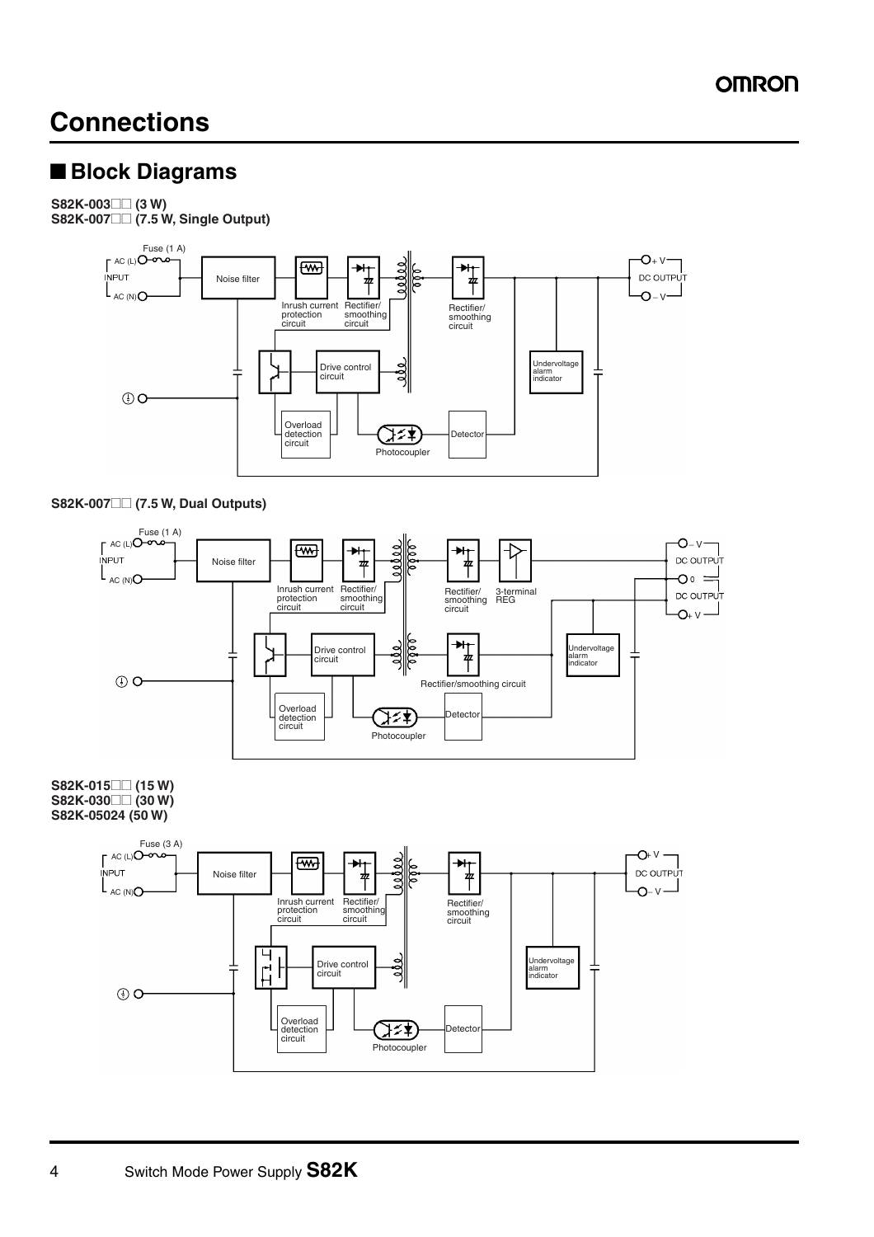# **Connections**

# ■ **Block Diagrams**

#### **S82K-003 (3 W) S82K-007□ (7.5 W, Single Output)**



#### **S82K-007**@@ **(7.5 W, Dual Outputs)**



#### **S82K-015□□ (15 W) S82K-030***Q* (30 W) **S82K-05024 (50 W)**

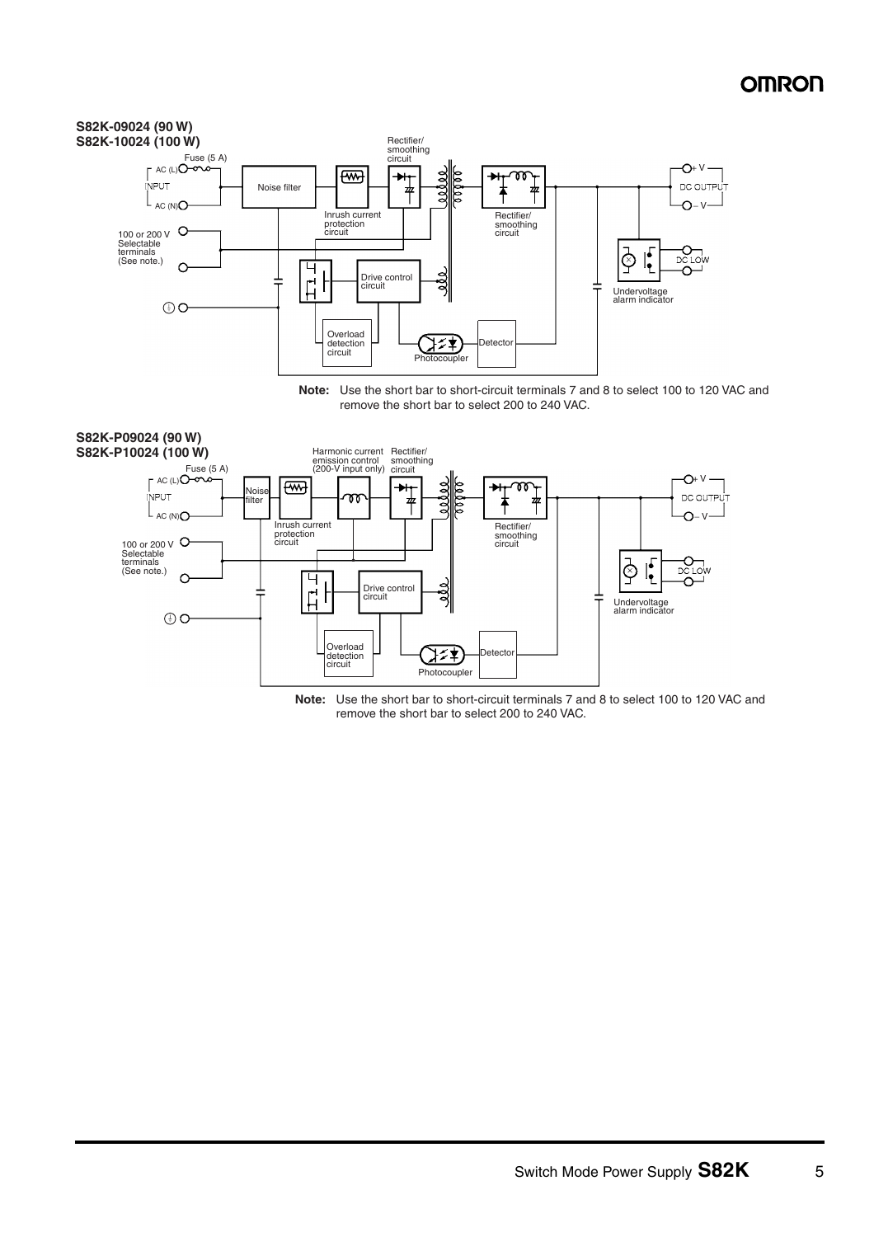

**Note:** Use the short bar to short-circuit terminals 7 and 8 to select 100 to 120 VAC and remove the short bar to select 200 to 240 VAC.



**Note:** Use the short bar to short-circuit terminals 7 and 8 to select 100 to 120 VAC and remove the short bar to select 200 to 240 VAC.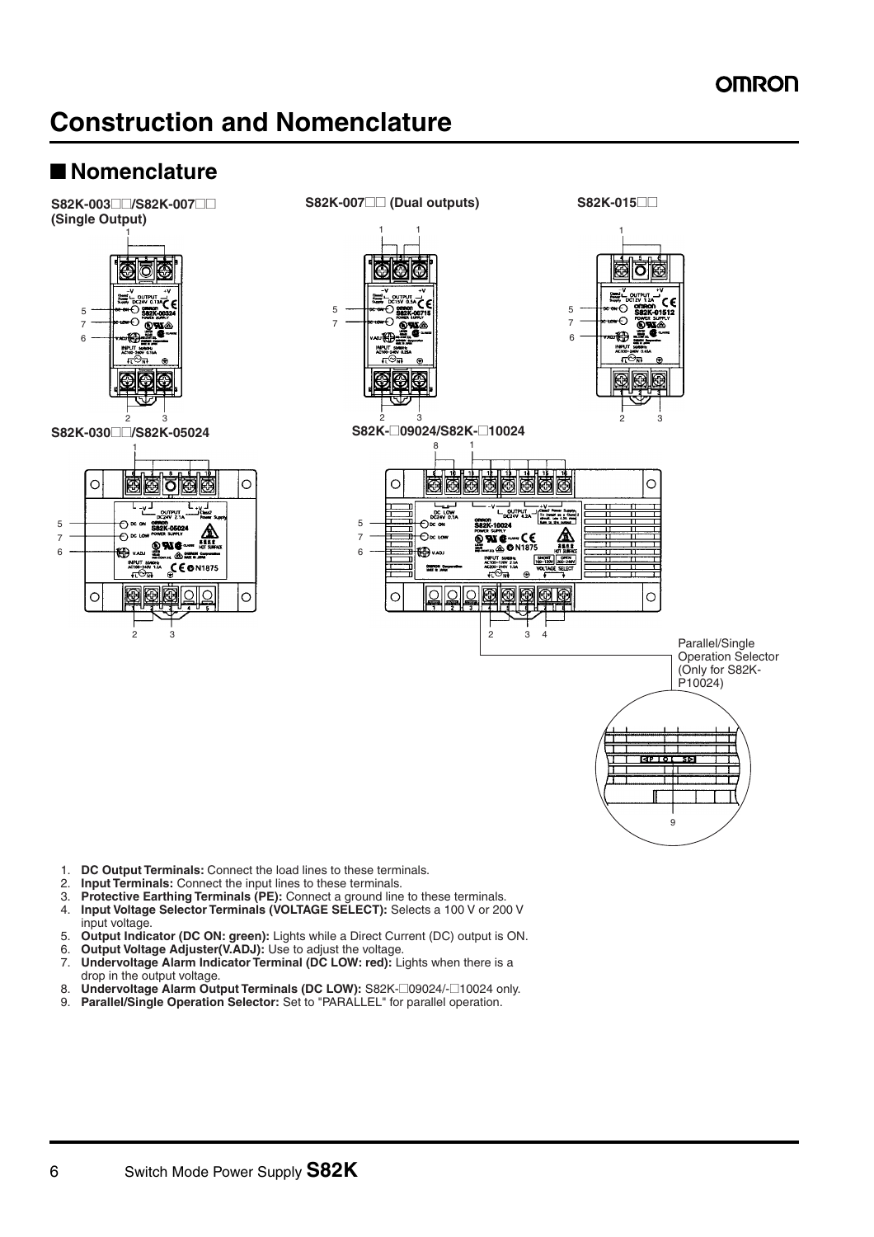# **Construction and Nomenclature**

# ■ **Nomenclature**

1 **S82K-003**@@**/S82K-007**@@ **S82K-007**@@ **(Dual outputs) (Single Output)**







9

- 
- 1. **DC Output Terminals:** Connect the load lines to these terminals.<br>2. **Input Terminals:** Connect the input lines to these terminals. **Input Terminals:** Connect the input lines to these terminals.
- 3. **Protective Earthing Terminals (PE):** Connect a ground line to these terminals.
- 4. **Input Voltage Selector Terminals (VOLTAGE SELECT):** Selects a 100 V or 200 V input voltage.
- 5. **Output Indicator (DC ON: green):** Lights while a Direct Current (DC) output is ON.
- 6. **Output Voltage Adjuster(V.ADJ):** Use to adjust the voltage.
- 7. **Undervoltage Alarm Indicator Terminal (DC LOW: red):** Lights when there is a drop in the output voltage.
- 8. **Undervoltage Alarm Output Terminals (DC LOW):** S82K- $\Box$ 09024/- $\Box$ 10024 only.
- 9. **Parallel/Single Operation Selector:** Set to "PARALLEL" for parallel operation.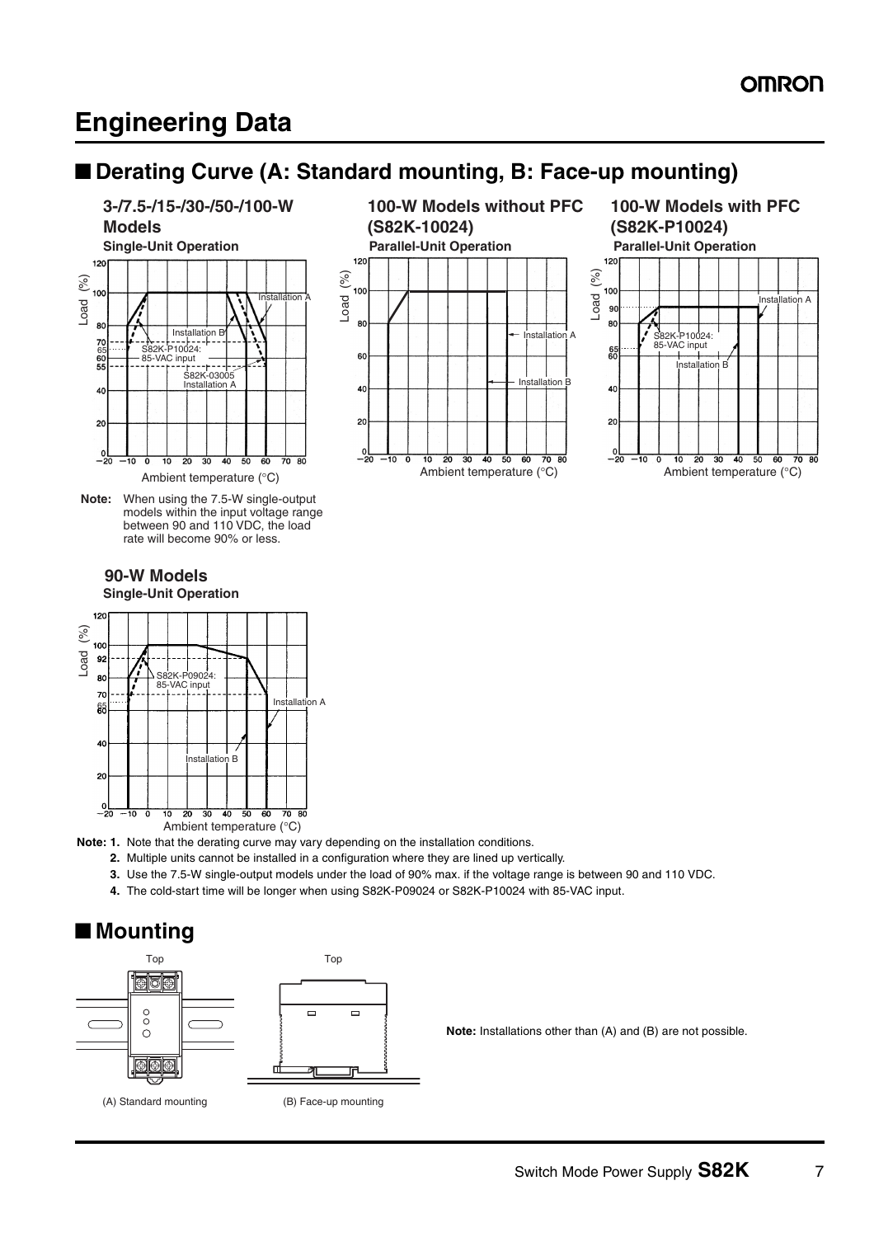# ■ **Derating Curve (A: Standard mounting, B: Face-up mounting)**





**Note: 1.** Note that the derating curve may vary depending on the installation conditions.

- **2.** Multiple units cannot be installed in a configuration where they are lined up vertically.
- **3.** Use the 7.5-W single-output models under the load of 90% max. if the voltage range is between 90 and 110 VDC.
- **4.** The cold-start time will be longer when using S82K-P09024 or S82K-P10024 with 85-VAC input.

# ■ **Mounting**



**Note:** Installations other than (A) and (B) are not possible.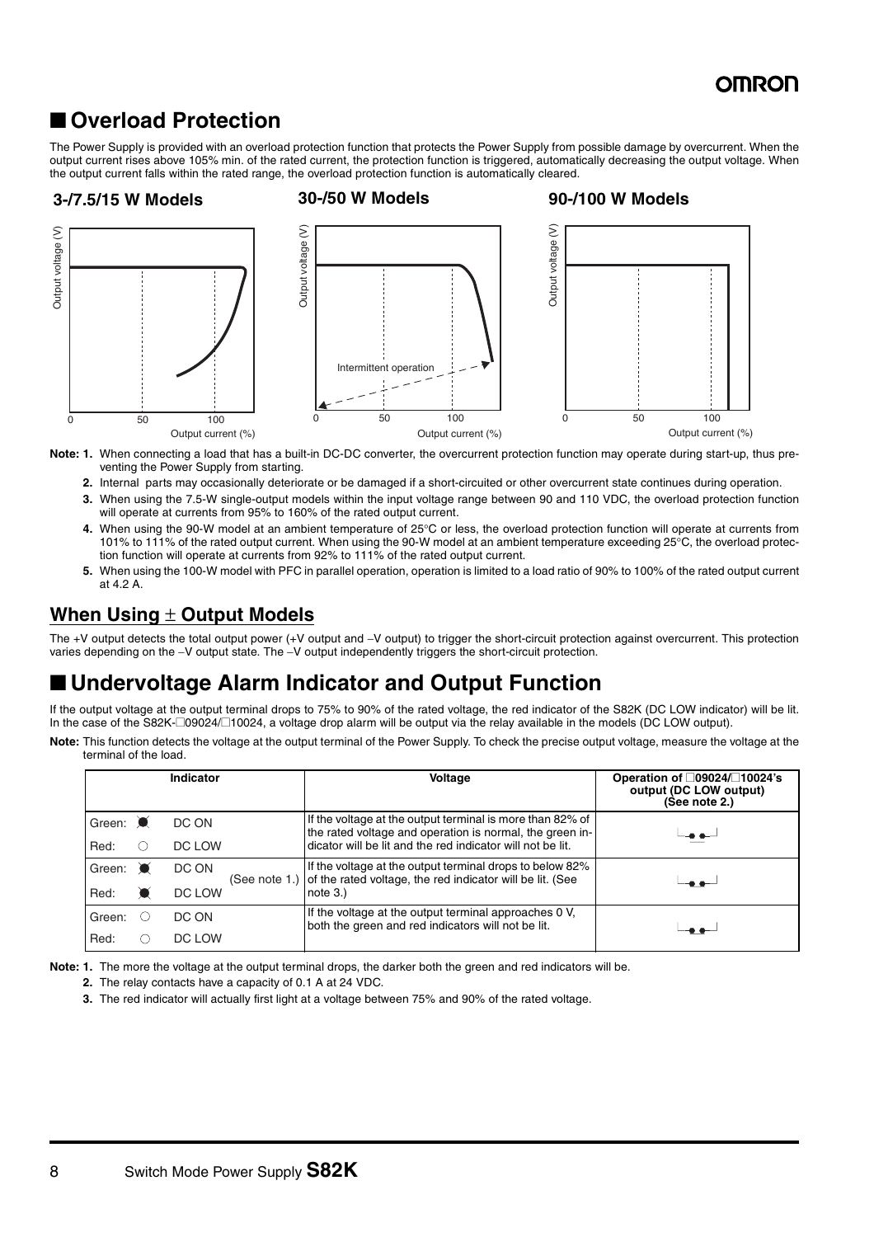## <span id="page-7-0"></span>■ **Overload Protection**

The Power Supply is provided with an overload protection function that protects the Power Supply from possible damage by overcurrent. When the output current rises above 105% min. of the rated current, the protection function is triggered, automatically decreasing the output voltage. When the output current falls within the rated range, the overload protection function is automatically cleared.

#### **3-/7.5/15 W Models 30-/50 W Models**

#### **90-/100 W Models**



Note: 1. When connecting a load that has a built-in DC-DC converter, the overcurrent protection function may operate during start-up, thus preventing the Power Supply from starting.

- **2.** Internal parts may occasionally deteriorate or be damaged if a short-circuited or other overcurrent state continues during operation.
- **3.** When using the 7.5-W single-output models within the input voltage range between 90 and 110 VDC, the overload protection function will operate at currents from 95% to 160% of the rated output current.
- **4.** When using the 90-W model at an ambient temperature of 25°C or less, the overload protection function will operate at currents from 101% to 111% of the rated output current. When using the 90-W model at an ambient temperature exceeding 25°C, the overload protection function will operate at currents from 92% to 111% of the rated output current.
- **5.** When using the 100-W model with PFC in parallel operation, operation is limited to a load ratio of 90% to 100% of the rated output current at 4.2 A.

### **When Using** ± **Output Models**

The +V output detects the total output power (+V output and −V output) to trigger the short-circuit protection against overcurrent. This protection varies depending on the −V output state. The −V output independently triggers the short-circuit protection.

# ■ Undervoltage Alarm Indicator and Output Function

If the output voltage at the output terminal drops to 75% to 90% of the rated voltage, the red indicator of the S82K (DC LOW indicator) will be lit. In the case of the S82K- $\Box$ 09024/ $\Box$ 10024, a voltage drop alarm will be output via the relay available in the models (DC LOW output).

**Note:** This function detects the voltage at the output terminal of the Power Supply. To check the precise output voltage, measure the voltage at the terminal of the load.

|                  |                | Indicator | Voltage                                                                                                                             | Operation of □09024/□10024's<br>output (DC LOW output)<br>(See note 2.) |  |
|------------------|----------------|-----------|-------------------------------------------------------------------------------------------------------------------------------------|-------------------------------------------------------------------------|--|
| Green: $\bullet$ |                | DC ON     | If the voltage at the output terminal is more than 82% of<br>the rated voltage and operation is normal, the green in-               |                                                                         |  |
| Red:             | O              | DC LOW    | dicator will be lit and the red indicator will not be lit.                                                                          |                                                                         |  |
| Green:           |                | DC ON     | If the voltage at the output terminal drops to below 82%<br>(See note 1.) of the rated voltage, the red indicator will be lit. (See |                                                                         |  |
| Red:             | $\blacksquare$ | DC LOW    | note 3.)                                                                                                                            |                                                                         |  |
| Green:           | ( )            | DC ON     | If the voltage at the output terminal approaches 0 V,<br>both the green and red indicators will not be lit.                         |                                                                         |  |
| Red:             |                | DC LOW    |                                                                                                                                     |                                                                         |  |

**Note: 1.** The more the voltage at the output terminal drops, the darker both the green and red indicators will be.

- **2.** The relay contacts have a capacity of 0.1 A at 24 VDC.
- **3.** The red indicator will actually first light at a voltage between 75% and 90% of the rated voltage.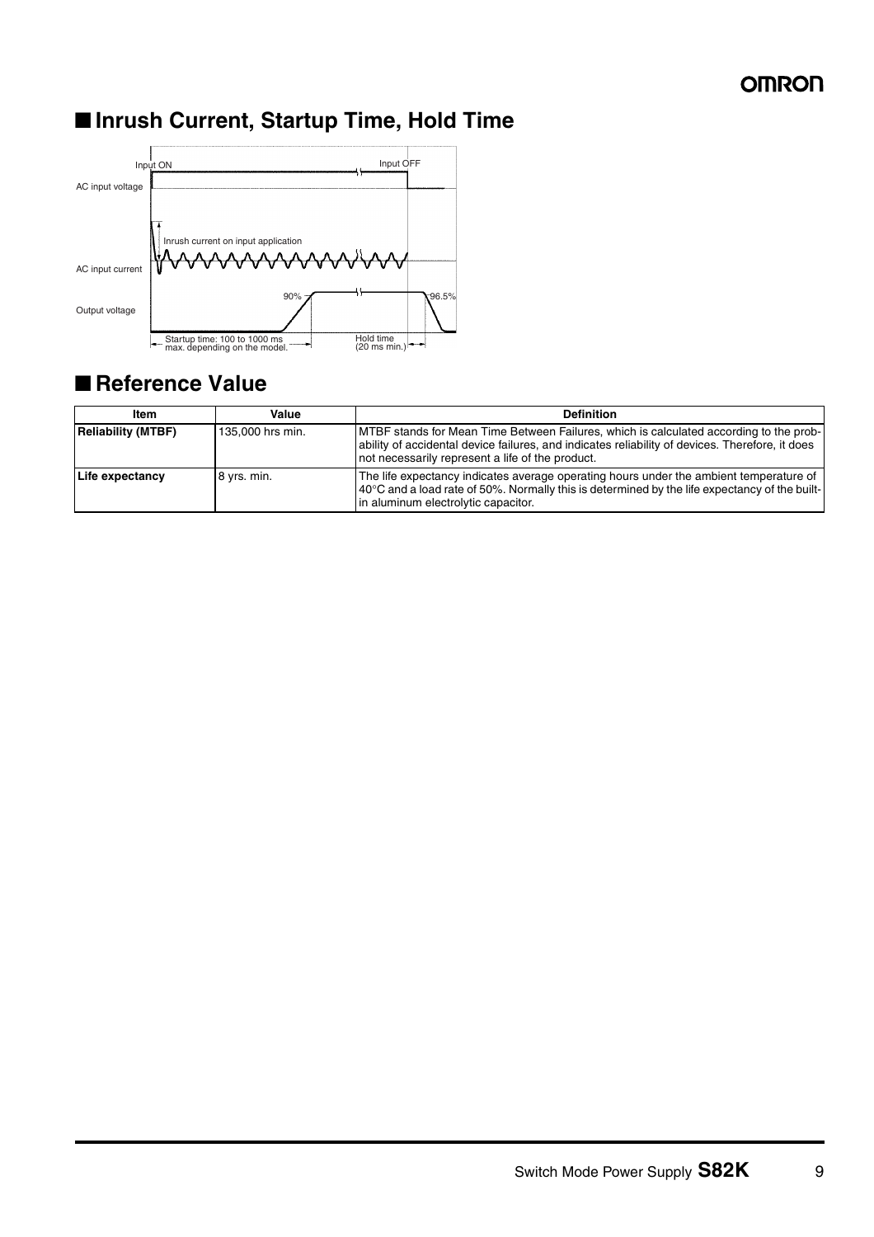# ■ **Inrush Current, Startup Time, Hold Time**



# ■ **Reference Value**

| Item                      | Value            | <b>Definition</b>                                                                                                                                                                                                                             |
|---------------------------|------------------|-----------------------------------------------------------------------------------------------------------------------------------------------------------------------------------------------------------------------------------------------|
| <b>Reliability (MTBF)</b> | 135,000 hrs min. | MTBF stands for Mean Time Between Failures, which is calculated according to the prob-<br>ability of accidental device failures, and indicates reliability of devices. Therefore, it does<br>not necessarily represent a life of the product. |
| Life expectancy           | 8 yrs. min.      | The life expectancy indicates average operating hours under the ambient temperature of<br>$\vert$ 40°C and a load rate of 50%. Normally this is determined by the life expectancy of the built-<br>in aluminum electrolytic capacitor.        |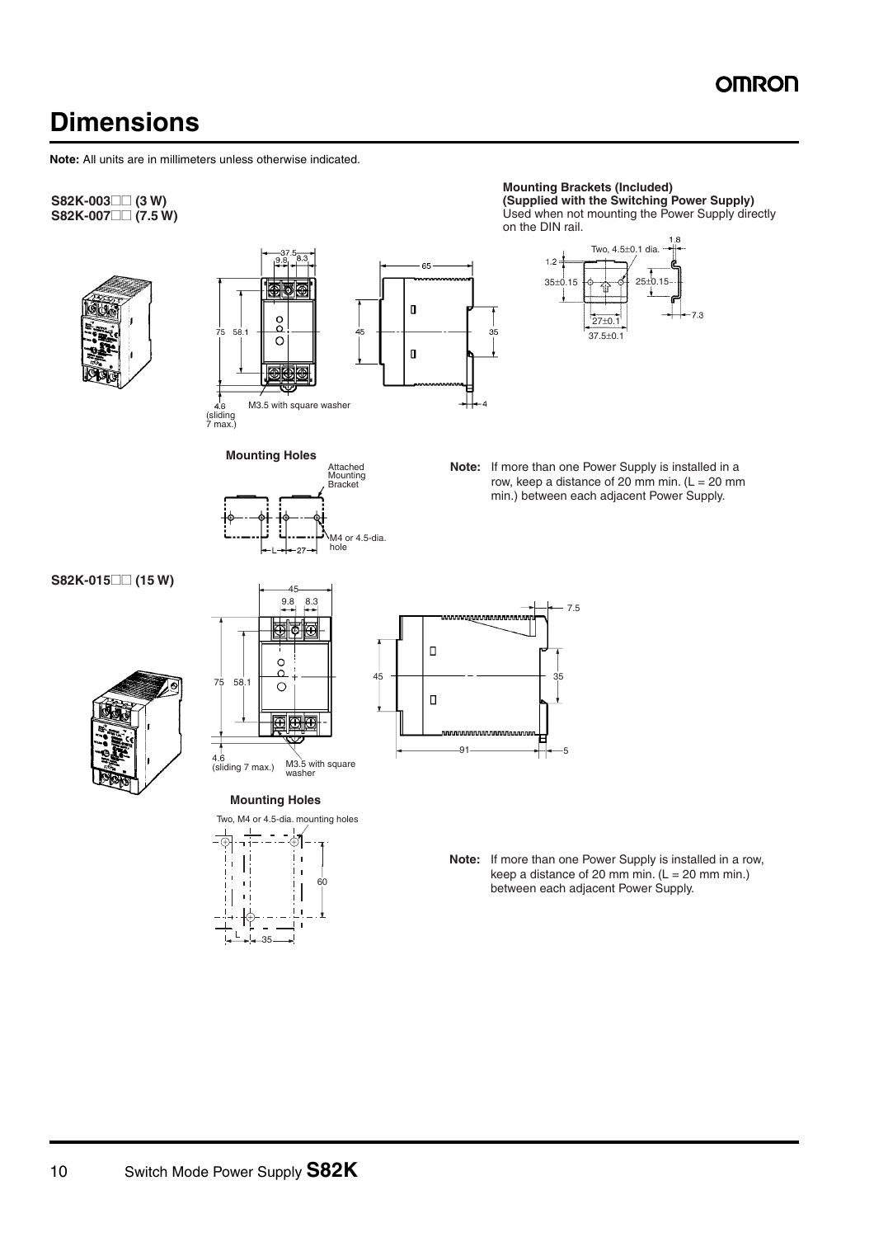# **Dimensions**

**Note:** All units are in millimeters unless otherwise indicated.

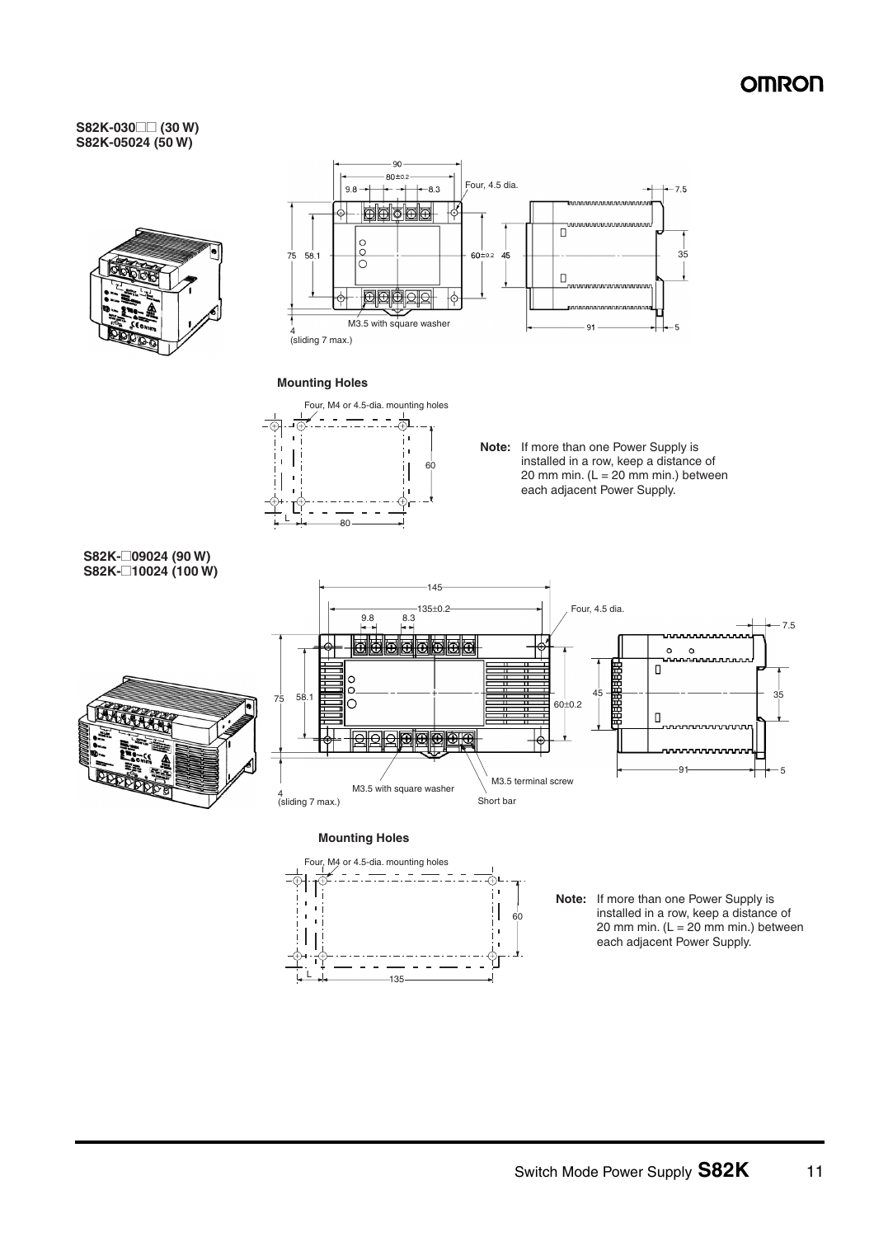**S82K-030**@@ **(30 W) S82K-05024 (50 W)**











**Mounting Holes**



**Note:** If more than one Power Supply is installed in a row, keep a distance of 20 mm min.  $(L = 20 \text{ mm min.})$  between each adjacent Power Supply.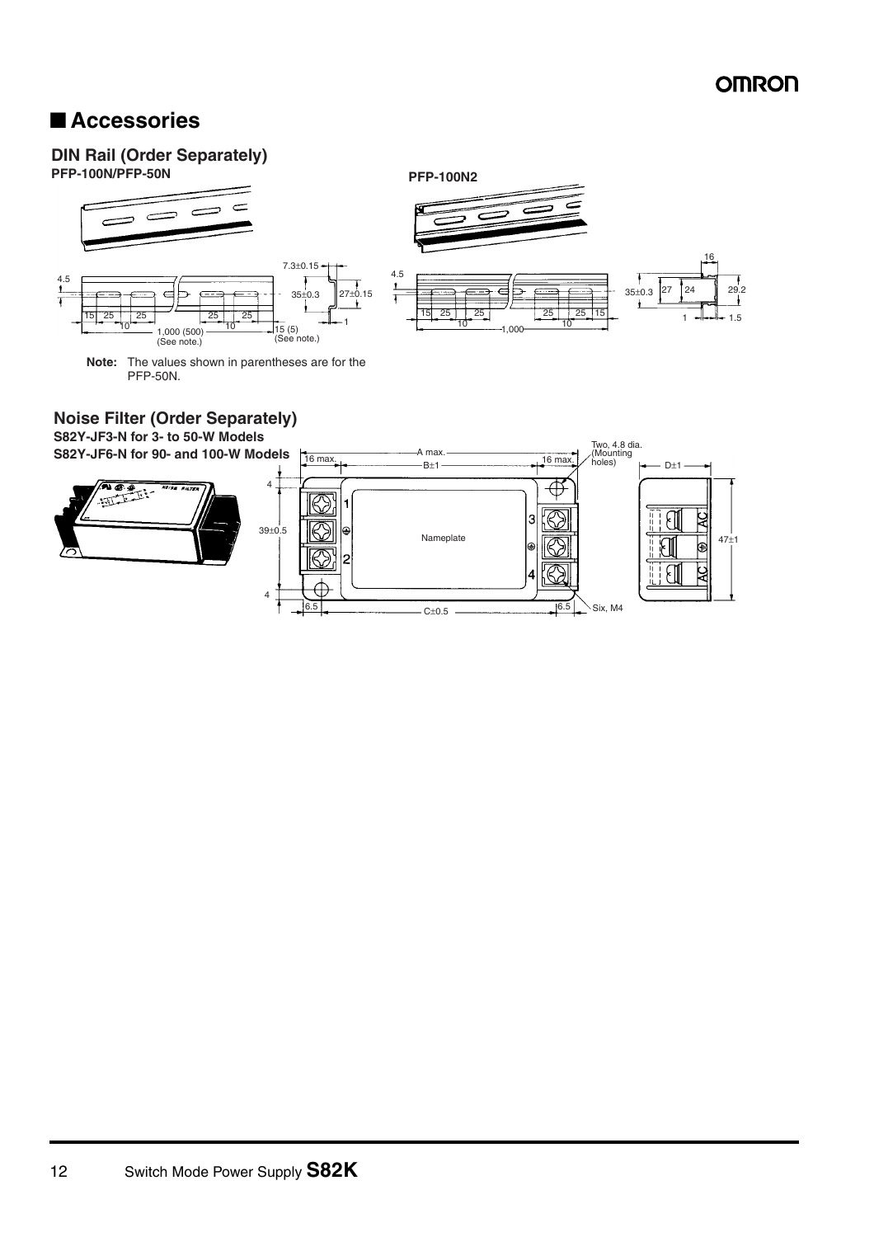$\ddagger$ 

# ■ **Accessories**

### **DIN Rail (Order Separately)**



**Noise Filter (Order Separately) S82Y-JF3-N for 3- to 50-W Models**  Two, 4.8 dia. (Mounting **S82Y-JF6-N for 90- and 100-W Models**A max. 16 max. 16 max. holes)  $B \pm 1$   $\longrightarrow$  D $\pm 1$ 4 ⊕ ∙ ۰\$۳ ℬ 8 3 Ř 39±0.5 Nameplate  $47±1$ ® ð ٤I 4  $C\pm0.5$   $\leftarrow$   $6.5$ Six, M4 6.5

12 Switch Mode Power Supply **S82K**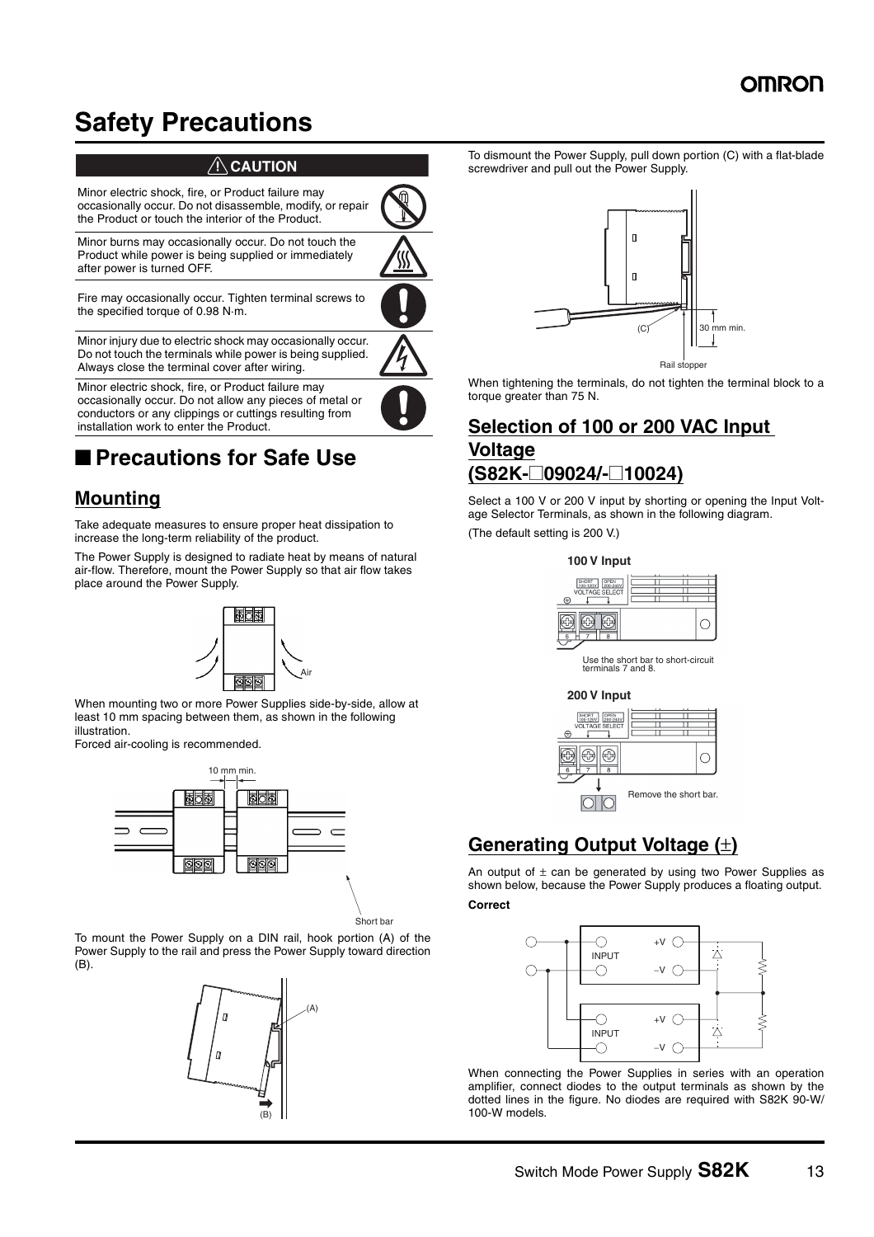# <span id="page-12-0"></span>**Safety Precautions**

### $\bigwedge$ CAUTION

Minor electric shock, fire, or Product failure may occasionally occur. Do not disassemble, modify, or repair the Product or touch the interior of the Product. Minor burns may occasionally occur. Do not touch the Product while power is being supplied or immediately after power is turned OFF. Fire may occasionally occur. Tighten terminal screws to the specified torque of 0.98 N·m. Minor injury due to electric shock may occasionally occur. Do not touch the terminals while power is being supplied. Always close the terminal cover after wiring. Minor electric shock, fire, or Product failure may occasionally occur. Do not allow any pieces of metal or

conductors or any clippings or cuttings resulting from installation work to enter the Product.

# ■ **Precautions for Safe Use**

### **Mounting**

Take adequate measures to ensure proper heat dissipation to increase the long-term reliability of the product.

The Power Supply is designed to radiate heat by means of natural air-flow. Therefore, mount the Power Supply so that air flow takes place around the Power Supply.



When mounting two or more Power Supplies side-by-side, allow at least 10 mm spacing between them, as shown in the following illustration.

Forced air-cooling is recommended.



To mount the Power Supply on a DIN rail, hook portion (A) of the Power Supply to the rail and press the Power Supply toward direction (B).



To dismount the Power Supply, pull down portion (C) with a flat-blade screwdriver and pull out the Power Supply.



Rail stopper

When tightening the terminals, do not tighten the terminal block to a torque greater than 75 N.

### **Selection of 100 or 200 VAC Input Voltage (S82K-**@**09024/-**@**10024)**

Select a 100 V or 200 V input by shorting or opening the Input Voltage Selector Terminals, as shown in the following diagram.

(The default setting is 200 V.)



Use the short bar to short-circuit terminals 7 and 8

#### **200 V Input**



### **Generating Output Voltage (**±**)**

An output of  $\pm$  can be generated by using two Power Supplies as shown below, because the Power Supply produces a floating output. **Correct**



When connecting the Power Supplies in series with an operation amplifier, connect diodes to the output terminals as shown by the dotted lines in the figure. No diodes are required with S82K 90-W/ 100-W models.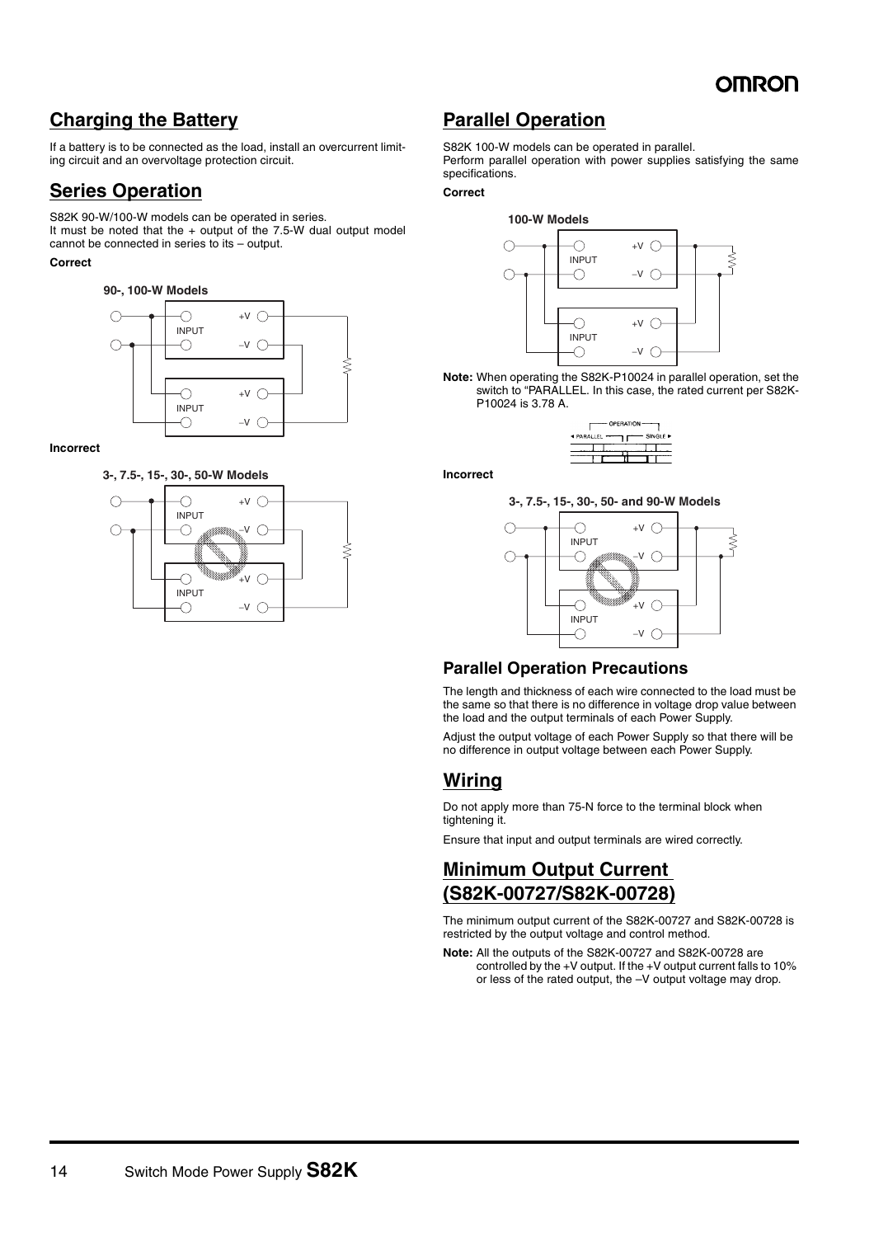### **Charging the Battery**

If a battery is to be connected as the load, install an overcurrent limiting circuit and an overvoltage protection circuit.

### **Series Operation**

S82K 90-W/100-W models can be operated in series. It must be noted that the  $+$  output of the 7.5-W dual output model cannot be connected in series to its – output.

#### **Correct**



#### **Incorrect**





### **Parallel Operation**

S82K 100-W models can be operated in parallel. Perform parallel operation with power supplies satisfying the same specifications.

#### **Correct**



**Note:** When operating the S82K-P10024 in parallel operation, set the switch to "PARALLEL. In this case, the rated current per S82K-P10024 is 3.78 A.

|                   | OPERATION- |
|-------------------|------------|
| <b>4 PARALLEL</b> | SINGLE +   |
|                   |            |
|                   |            |

**Incorrect**





### **Parallel Operation Precautions**

The length and thickness of each wire connected to the load must be the same so that there is no difference in voltage drop value between the load and the output terminals of each Power Supply.

Adjust the output voltage of each Power Supply so that there will be no difference in output voltage between each Power Supply.

### **Wiring**

Do not apply more than 75-N force to the terminal block when tightening it.

Ensure that input and output terminals are wired correctly.

### **Minimum Output Current (S82K-00727/S82K-00728)**

The minimum output current of the S82K-00727 and S82K-00728 is restricted by the output voltage and control method.

**Note:** All the outputs of the S82K-00727 and S82K-00728 are controlled by the +V output. If the +V output current falls to 10% or less of the rated output, the –V output voltage may drop.